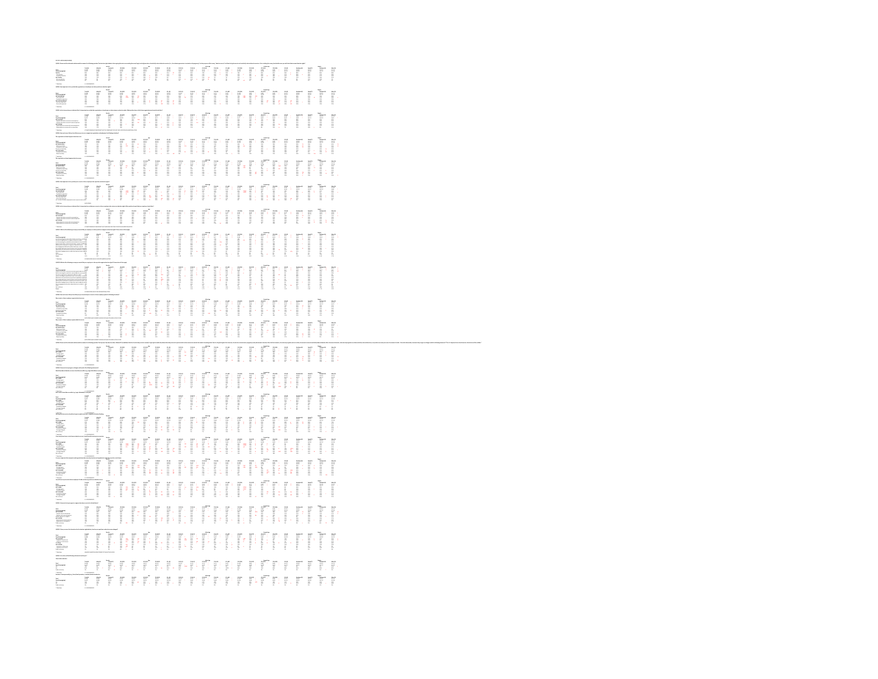|   | ш             | illin                                                                                                                                                                                                                                                                                                                                                                        | TAPAPPAPPAPPPPTT                                                                                                      |                                                                                                                                                                                                                                                                                                                                     |      |        |                        |                                                              |                                         |                            |  |  |                 |     |                   |                           |                                                                                            |                                                                                                                                                                                                                                                                                                                                                     | in it it it                                                                                                                                                                                                                    |  |
|---|---------------|------------------------------------------------------------------------------------------------------------------------------------------------------------------------------------------------------------------------------------------------------------------------------------------------------------------------------------------------------------------------------|-----------------------------------------------------------------------------------------------------------------------|-------------------------------------------------------------------------------------------------------------------------------------------------------------------------------------------------------------------------------------------------------------------------------------------------------------------------------------|------|--------|------------------------|--------------------------------------------------------------|-----------------------------------------|----------------------------|--|--|-----------------|-----|-------------------|---------------------------|--------------------------------------------------------------------------------------------|-----------------------------------------------------------------------------------------------------------------------------------------------------------------------------------------------------------------------------------------------------------------------------------------------------------------------------------------------------|--------------------------------------------------------------------------------------------------------------------------------------------------------------------------------------------------------------------------------|--|
|   | llimi         | ilissi                                                                                                                                                                                                                                                                                                                                                                       | THE E                                                                                                                 |                                                                                                                                                                                                                                                                                                                                     |      |        |                        | i<br>I<br>I<br>I                                             | <b>BETHERE</b>                          |                            |  |  |                 |     |                   |                           |                                                                                            | E E-E                                                                                                                                                                                                                                                                                                                                               | ilistra<br>.                                                                                                                                                                                                                   |  |
|   | ilist         | ilistr                                                                                                                                                                                                                                                                                                                                                                       |                                                                                                                       | <b>TEPERTERET PRESER</b>                                                                                                                                                                                                                                                                                                            |      |        |                        |                                                              |                                         |                            |  |  |                 |     |                   | F                         | Ilist                                                                                      | $\mu_{\rm{BH}}$                                                                                                                                                                                                                                                                                                                                     | ina                                                                                                                                                                                                                            |  |
|   | llimit        | illisti                                                                                                                                                                                                                                                                                                                                                                      | jiim                                                                                                                  | F.                                                                                                                                                                                                                                                                                                                                  |      | E.E.   | ilianii.               |                                                              | <b>URINER</b>                           |                            |  |  | Film            |     | 133311            | F.                        |                                                                                            | E.                                                                                                                                                                                                                                                                                                                                                  | ilians i                                                                                                                                                                                                                       |  |
|   | many          |                                                                                                                                                                                                                                                                                                                                                                              |                                                                                                                       | Finished and the second second second second second second second second second second second second second se<br>Excess the second second second second second second second second second second second second second second s                                                                                                    |      |        |                        |                                                              | <b>EDITE</b>                            |                            |  |  | nnni            |     |                   | F,                        |                                                                                            |                                                                                                                                                                                                                                                                                                                                                     | litera                                                                                                                                                                                                                         |  |
|   | illimid       | illum.                                                                                                                                                                                                                                                                                                                                                                       | T. PEG BED PEG PEG DE PEG                                                                                             |                                                                                                                                                                                                                                                                                                                                     |      |        |                        |                                                              |                                         |                            |  |  |                 |     |                   |                           |                                                                                            |                                                                                                                                                                                                                                                                                                                                                     | iness:                                                                                                                                                                                                                         |  |
|   | illiri        | ilinoi)                                                                                                                                                                                                                                                                                                                                                                      |                                                                                                                       |                                                                                                                                                                                                                                                                                                                                     |      |        |                        |                                                              |                                         |                            |  |  |                 |     |                   |                           |                                                                                            |                                                                                                                                                                                                                                                                                                                                                     | ina.                                                                                                                                                                                                                           |  |
|   | ilingi        |                                                                                                                                                                                                                                                                                                                                                                              |                                                                                                                       |                                                                                                                                                                                                                                                                                                                                     |      |        |                        |                                                              |                                         | <b>The Second Property</b> |  |  |                 |     |                   | <b>Elisabeth Property</b> | $\frac{1}{2}$                                                                              |                                                                                                                                                                                                                                                                                                                                                     | i<br>Inconect                                                                                                                                                                                                                  |  |
|   |               | incommutation.<br>Thuman control                                                                                                                                                                                                                                                                                                                                             |                                                                                                                       | $\begin{bmatrix} 1 & 0 & 0 \\ 0 & 1 & 0 \\ 0 & 0 & 0 \\ 0 & 0 & 0 \\ 0 & 0 & 0 \\ 0 & 0 & 0 \\ 0 & 0 & 0 \\ 0 & 0 & 0 \\ 0 & 0 & 0 \\ 0 & 0 & 0 \\ 0 & 0 & 0 \\ 0 & 0 & 0 \\ 0 & 0 & 0 \\ 0 & 0 & 0 \\ 0 & 0 & 0 \\ 0 & 0 & 0 & 0 \\ 0 & 0 & 0 & 0 \\ 0 & 0 & 0 & 0 \\ 0 & 0 & 0 & 0 \\ 0 & 0 & 0 & 0 \\ 0 & 0 & 0 & 0 \\ 0 & 0 & $ |      |        |                        |                                                              |                                         |                            |  |  |                 |     |                   |                           |                                                                                            | $\begin{picture}(180,10) \put(0,0){\line(1,0){155}} \put(0,0){\line(1,0){155}} \put(0,0){\line(1,0){155}} \put(0,0){\line(1,0){155}} \put(0,0){\line(1,0){155}} \put(0,0){\line(1,0){155}} \put(0,0){\line(1,0){155}} \put(0,0){\line(1,0){155}} \put(0,0){\line(1,0){155}} \put(0,0){\line(1,0){155}} \put(0,0){\line(1,0){155}} \put(0,0){\line($ | in and the first series of the series of the series of the series of the series of the series of the series of the series of the series of the series of the series of the series of the series of the series of the series of |  |
|   | ilimi         | llimi                                                                                                                                                                                                                                                                                                                                                                        | The Equator                                                                                                           |                                                                                                                                                                                                                                                                                                                                     |      |        |                        |                                                              | per reterent                            |                            |  |  |                 |     |                   | F.                        | $\begin{bmatrix} 1 & 1 & 1 & 1 & 1 \\ 1 & 1 & 1 & 1 & 1 \\ & & \ddots & & & \end{bmatrix}$ | Ţ                                                                                                                                                                                                                                                                                                                                                   | lices                                                                                                                                                                                                                          |  |
|   | illeen        | mm                                                                                                                                                                                                                                                                                                                                                                           |                                                                                                                       | E E                                                                                                                                                                                                                                                                                                                                 |      |        |                        |                                                              | <b>I</b> FRIDERER PRESE                 |                            |  |  |                 |     |                   |                           |                                                                                            | $\mathbb{R}$                                                                                                                                                                                                                                                                                                                                        | ilissit                                                                                                                                                                                                                        |  |
|   | llimit        | literes                                                                                                                                                                                                                                                                                                                                                                      | innia<br>.                                                                                                            |                                                                                                                                                                                                                                                                                                                                     | F.E. | ET E   |                        | in the control.                                              | BRITER D                                |                            |  |  |                 | ĒD. | i<br>iiiii<br>iii | ŗ,                        |                                                                                            |                                                                                                                                                                                                                                                                                                                                                     | ilissis                                                                                                                                                                                                                        |  |
|   | illimit       | ilisers.                                                                                                                                                                                                                                                                                                                                                                     | ES ELECTRIC STATISTICS.                                                                                               |                                                                                                                                                                                                                                                                                                                                     |      |        |                        |                                                              | <b>NOOD BOOK BOOK</b>                   |                            |  |  |                 |     |                   |                           |                                                                                            | $\liminf$                                                                                                                                                                                                                                                                                                                                           | iliani                                                                                                                                                                                                                         |  |
|   | liharatan     | $\prod_{i=1}^{n} \frac{1}{i} \prod_{i=1}^{n} \frac{1}{i} \prod_{i=1}^{n} \frac{1}{i} \prod_{i=1}^{n} \frac{1}{i} \prod_{i=1}^{n} \frac{1}{i} \prod_{i=1}^{n} \frac{1}{i} \prod_{i=1}^{n} \frac{1}{i} \prod_{i=1}^{n} \frac{1}{i} \prod_{i=1}^{n} \frac{1}{i} \prod_{i=1}^{n} \frac{1}{i} \prod_{i=1}^{n} \frac{1}{i} \prod_{i=1}^{n} \frac{1}{i} \prod_{i=1}^{n} \frac{1}{i$ | THE TELESTICS                                                                                                         |                                                                                                                                                                                                                                                                                                                                     |      |        |                        |                                                              |                                         |                            |  |  | <b>EDENTIFY</b> |     |                   |                           | in and fill                                                                                | Ţ                                                                                                                                                                                                                                                                                                                                                   | llistan                                                                                                                                                                                                                        |  |
|   |               | illinni                                                                                                                                                                                                                                                                                                                                                                      | ET FILE                                                                                                               |                                                                                                                                                                                                                                                                                                                                     |      |        |                        | $\begin{array}{ll} \text{Hilat} \\ \text{Hilat} \end{array}$ | E DI FILI                               |                            |  |  | FITTE TE        |     |                   |                           |                                                                                            |                                                                                                                                                                                                                                                                                                                                                     | liters                                                                                                                                                                                                                         |  |
|   | litere        | ilines i                                                                                                                                                                                                                                                                                                                                                                     | T MARA A PARTA PARTA DA P                                                                                             |                                                                                                                                                                                                                                                                                                                                     |      |        |                        |                                                              |                                         |                            |  |  |                 |     |                   |                           |                                                                                            | E E                                                                                                                                                                                                                                                                                                                                                 | illisse                                                                                                                                                                                                                        |  |
|   | ,,,,,,,,      | inania<br>T                                                                                                                                                                                                                                                                                                                                                                  | $\ddot{\phantom{a}}$                                                                                                  |                                                                                                                                                                                                                                                                                                                                     |      | E.E.F. | ilistica<br>Contractor | ining<br>1                                                   | ES FILM                                 |                            |  |  | <b>FIFE</b>     |     |                   |                           |                                                                                            | E                                                                                                                                                                                                                                                                                                                                                   | literat                                                                                                                                                                                                                        |  |
| E | illererer     | limont i                                                                                                                                                                                                                                                                                                                                                                     |                                                                                                                       |                                                                                                                                                                                                                                                                                                                                     |      |        |                        |                                                              |                                         |                            |  |  |                 |     |                   | Ţ                         |                                                                                            | E.                                                                                                                                                                                                                                                                                                                                                  | lima                                                                                                                                                                                                                           |  |
|   | ilimi         | ilimit                                                                                                                                                                                                                                                                                                                                                                       |                                                                                                                       |                                                                                                                                                                                                                                                                                                                                     |      |        |                        |                                                              | <b>ILE ELET ELECTROPIE PRESENTATION</b> |                            |  |  |                 |     |                   | F.                        | $\frac{1}{2}$                                                                              | Ī                                                                                                                                                                                                                                                                                                                                                   | inisters                                                                                                                                                                                                                       |  |
|   | Mone          |                                                                                                                                                                                                                                                                                                                                                                              | <b>I THE LEFT DEPT TET TO BE A THE SECOND SECOND PROPERTY IN THE REPORT OF THE PROPERTY OF A THE REPORT OF THE PR</b> |                                                                                                                                                                                                                                                                                                                                     |      |        |                        |                                                              |                                         |                            |  |  |                 |     |                   |                           |                                                                                            |                                                                                                                                                                                                                                                                                                                                                     | lineari                                                                                                                                                                                                                        |  |
|   | $\frac{1}{2}$ |                                                                                                                                                                                                                                                                                                                                                                              | rhrrfreispforfrff                                                                                                     |                                                                                                                                                                                                                                                                                                                                     |      |        |                        |                                                              |                                         |                            |  |  |                 |     |                   | $\overline{\Xi}$          |                                                                                            | Ē.                                                                                                                                                                                                                                                                                                                                                  | Îlis                                                                                                                                                                                                                           |  |
|   |               |                                                                                                                                                                                                                                                                                                                                                                              |                                                                                                                       |                                                                                                                                                                                                                                                                                                                                     |      |        |                        |                                                              |                                         |                            |  |  |                 |     |                   |                           |                                                                                            |                                                                                                                                                                                                                                                                                                                                                     |                                                                                                                                                                                                                                |  |

.<br>A MONTANTA SANTO UN DESEMBORA DE PORTO DE PORTO EN EL MENORMADO POR ENTERTADO EN EL MENORMADO DE MEIOS ATACION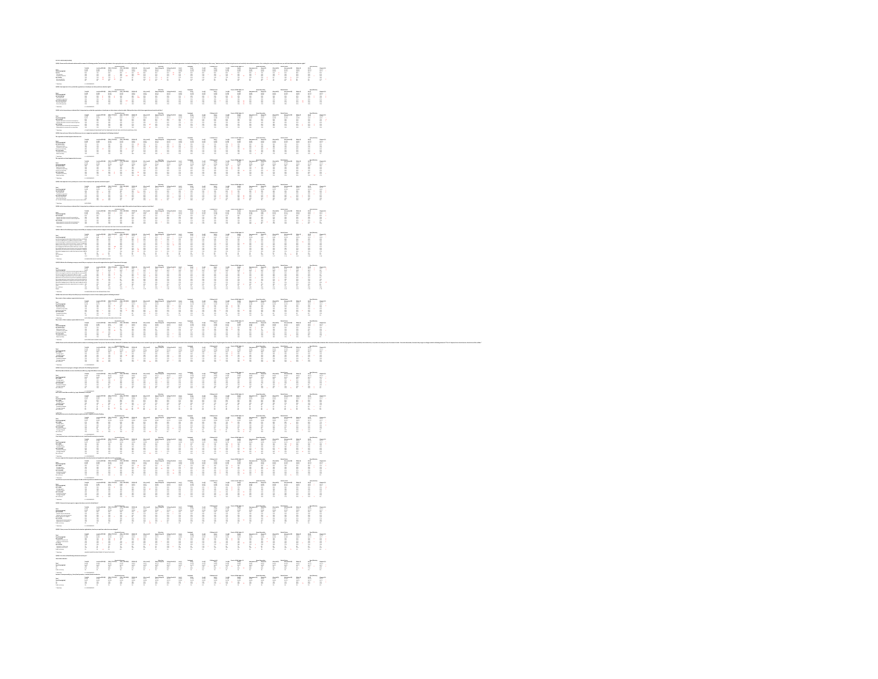|   | Elistat             |                                                                                                                                                                                                                                                                                                                                                                                                                |               |                                                                                                                                                                                                                                                                                                                                                                                                                                                                                                                       |                                                                                                                                                                                                                                                                                                                              |                                                                                                                                                                                                                                              |                                                                                                                                                                                                                                                                                                                                                   |                 |                   |                 |                  | <b>DITERMENT PRESENTED</b>                                                                                                                                                            |                                                                                                                                                                                                                                |                         |                          |               |                |                   |                                                                                                                                                                                                                                                                                                                                |                                                  |                       |
|---|---------------------|----------------------------------------------------------------------------------------------------------------------------------------------------------------------------------------------------------------------------------------------------------------------------------------------------------------------------------------------------------------------------------------------------------------|---------------|-----------------------------------------------------------------------------------------------------------------------------------------------------------------------------------------------------------------------------------------------------------------------------------------------------------------------------------------------------------------------------------------------------------------------------------------------------------------------------------------------------------------------|------------------------------------------------------------------------------------------------------------------------------------------------------------------------------------------------------------------------------------------------------------------------------------------------------------------------------|----------------------------------------------------------------------------------------------------------------------------------------------------------------------------------------------------------------------------------------------|---------------------------------------------------------------------------------------------------------------------------------------------------------------------------------------------------------------------------------------------------------------------------------------------------------------------------------------------------|-----------------|-------------------|-----------------|------------------|---------------------------------------------------------------------------------------------------------------------------------------------------------------------------------------|--------------------------------------------------------------------------------------------------------------------------------------------------------------------------------------------------------------------------------|-------------------------|--------------------------|---------------|----------------|-------------------|--------------------------------------------------------------------------------------------------------------------------------------------------------------------------------------------------------------------------------------------------------------------------------------------------------------------------------|--------------------------------------------------|-----------------------|
|   | Ministr             |                                                                                                                                                                                                                                                                                                                                                                                                                |               | FFT.                                                                                                                                                                                                                                                                                                                                                                                                                                                                                                                  |                                                                                                                                                                                                                                                                                                                              | E.                                                                                                                                                                                                                                           |                                                                                                                                                                                                                                                                                                                                                   | fi              |                   |                 |                  | H                                                                                                                                                                                     |                                                                                                                                                                                                                                | $\overline{\mathbb{R}}$ | limi                     | ihitetet.     | 11111111       | illissere         | $\overline{\mathbb{F}}$ .                                                                                                                                                                                                                                                                                                      | F                                                | E.                    |
|   | limi                | Ţ                                                                                                                                                                                                                                                                                                                                                                                                              | Ì             | F                                                                                                                                                                                                                                                                                                                                                                                                                                                                                                                     | E                                                                                                                                                                                                                                                                                                                            |                                                                                                                                                                                                                                              | <b>DESCRIPTION</b>                                                                                                                                                                                                                                                                                                                                |                 |                   |                 | <b>Blue</b>      | lilling                                                                                                                                                                               | ilissa il                                                                                                                                                                                                                      | E                       | ilissi                   | Ē             | ilistr         | Elseres           | Elimit                                                                                                                                                                                                                                                                                                                         | annu,                                            | Ţ                     |
|   |                     | $\prod_{i=1}^{n}$                                                                                                                                                                                                                                                                                                                                                                                              | 11111111      | Ī                                                                                                                                                                                                                                                                                                                                                                                                                                                                                                                     |                                                                                                                                                                                                                                                                                                                              | $\begin{array}{ccc} \mathbf{m}\mathbf{s} & \mathbf{m}\mathbf{s} \\ \mathbf{m} & \mathbf{m} & \mathbf{m} \\ \mathbf{m} & \mathbf{m} & \mathbf{m} \\ \mathbf{m} & \mathbf{m} & \mathbf{m} \\ \mathbf{m} & \mathbf{m} & \mathbf{m} \end{array}$ | $\begin{bmatrix} 1 & 1 \\ 1 & 1 \\ 1 & 1 \\ 1 & 1 \\ 1 & 1 \\ 1 & 1 \\ 1 & 1 \\ 1 & 1 \\ 1 & 1 \\ 1 & 1 \\ 1 & 1 \\ 1 & 1 \\ 1 & 1 \\ 1 & 1 \\ 1 & 1 \\ 1 & 1 \\ 1 & 1 \\ 1 & 1 \\ 1 & 1 \\ 1 & 1 \\ 1 & 1 \\ 1 & 1 \\ 1 & 1 \\ 1 & 1 \\ 1 & 1 \\ 1 & 1 \\ 1 & 1 \\ 1 & 1 \\ 1 & 1 \\ 1 & 1 \\ 1 & 1 \\ 1 & 1 \\ 1 & 1 \\ 1 & 1 \\ 1 & 1 \\ 1 & $ |                 |                   | in mark         | ilimit!          | $\begin{array}{c} \begin{array}{c} \begin{array}{c} \begin{array}{c} \end{array} \\ \begin{array}{c} \end{array} \\ \begin{array}{c} \end{array} \end{array} \end{array} \end{array}$ |                                                                                                                                                                                                                                |                         | M                        | Illimit       | ilisini        | <b>THEFT</b>      | <b>THEFT</b>                                                                                                                                                                                                                                                                                                                   | mm                                               | instruct              |
|   | man                 | Ţ                                                                                                                                                                                                                                                                                                                                                                                                              | iiiiiiiii<br> | $\prod_{i=1}^{n}$                                                                                                                                                                                                                                                                                                                                                                                                                                                                                                     | in item                                                                                                                                                                                                                                                                                                                      | Ţ                                                                                                                                                                                                                                            | 11111111                                                                                                                                                                                                                                                                                                                                          | 199991          | <b>Mitris</b>     | in is and       | ining<br>        | This control                                                                                                                                                                          |                                                                                                                                                                                                                                | ETE.                    |                          | FT.           | llimid         | illissers         | lines in                                                                                                                                                                                                                                                                                                                       |                                                  | Ī                     |
|   | Шессе               | $\begin{array}{cccc}\n\frac{1}{2} & \frac{1}{2} & \frac{1}{2} & \frac{1}{2} & \frac{1}{2} \\ \frac{1}{2} & \frac{1}{2} & \frac{1}{2} & \frac{1}{2} & \frac{1}{2} & \frac{1}{2} \\ \frac{1}{2} & \frac{1}{2} & \frac{1}{2} & \frac{1}{2} & \frac{1}{2} & \frac{1}{2} \\ \frac{1}{2} & \frac{1}{2} & \frac{1}{2} & \frac{1}{2} & \frac{1}{2} & \frac{1}{2} \\ \frac{1}{2} & \frac{1}{2} & \frac{1}{2} & \frac{1$ |               | T                                                                                                                                                                                                                                                                                                                                                                                                                                                                                                                     |                                                                                                                                                                                                                                                                                                                              |                                                                                                                                                                                                                                              | <b>ELETER</b>                                                                                                                                                                                                                                                                                                                                     |                 |                   | $\frac{1}{2}$   |                  | H,                                                                                                                                                                                    |                                                                                                                                                                                                                                | FIT.                    | M                        |               | in and         | Ī.                | $\begin{bmatrix} 1 & 0 & 0 & 0 \\ 0 & 0 & 0 & 0 \\ 0 & 0 & 0 & 0 \\ 0 & 0 & 0 & 0 \\ 0 & 0 & 0 & 0 & 0 \\ 0 & 0 & 0 & 0 & 0 \\ 0 & 0 & 0 & 0 & 0 \\ 0 & 0 & 0 & 0 & 0 & 0 \\ 0 & 0 & 0 & 0 & 0 & 0 \\ 0 & 0 & 0 & 0 & 0 & 0 \\ 0 & 0 & 0 & 0 & 0 & 0 & 0 \\ 0 & 0 & 0 & 0 & 0 & 0 & 0 \\ 0 & 0 & 0 & 0 & 0 & 0 & 0 \\ 0 & $    | f                                                | Elister<br>Statistics |
|   | llimi               |                                                                                                                                                                                                                                                                                                                                                                                                                |               | $\begin{array}{cccccc} \text{non-3-loop} & \text{non-3-loop} & \text{non-3-loop} \\ \text{non-3-loop} & \text{non-3-loop} & \text{non-3-loop} \\ \text{non-3-loop} & \text{non-3-loop} & \text{non-3-loop} \\ \text{non-3-loop} & \text{non-3-loop} & \text{non-3-loop} \\ \text{non-3-loop} & \text{non-3-loop} & \text{non-3-loop} \\ \text{non-3-loop} & \text{non-3-loop} & \text{non-3-loop} \\ \text{non-3-loop} & \text{non-3-loop} & \text{non-3-loop} \\ \text{non-3-loop} & \text{non-3-loop} & \text{non-$ | $\begin{bmatrix} 1 & 1 & 1 & 1 \\ 1 & 1 & 1 & 1 & 1 \\ 1 & 1 & 1 & 1 & 1 \\ 1 & 1 & 1 & 1 & 1 \\ 1 & 1 & 1 & 1 & 1 \\ 1 & 1 & 1 & 1 & 1 \\ 1 & 1 & 1 & 1 & 1 \\ 1 & 1 & 1 & 1 & 1 \\ 1 & 1 & 1 & 1 & 1 \\ 1 & 1 & 1 & 1 & 1 \\ 1 & 1 & 1 & 1 & 1 \\ 1 & 1 & 1 & 1 & 1 \\ 1 & 1 & 1 & 1 & 1 \\ 1 & 1 & 1 & 1 & 1 \\ 1 & 1 & $ |                                                                                                                                                                                                                                              | ETT E                                                                                                                                                                                                                                                                                                                                             |                 |                   | smal<br>÷,      | annum            | Ţ                                                                                                                                                                                     | ш                                                                                                                                                                                                                              | inneen                  | literati                 | T             | ilins          | insee:            | $\overline{a}$                                                                                                                                                                                                                                                                                                                 | F                                                | ņ                     |
|   |                     |                                                                                                                                                                                                                                                                                                                                                                                                                |               |                                                                                                                                                                                                                                                                                                                                                                                                                                                                                                                       |                                                                                                                                                                                                                                                                                                                              |                                                                                                                                                                                                                                              |                                                                                                                                                                                                                                                                                                                                                   |                 |                   |                 |                  |                                                                                                                                                                                       |                                                                                                                                                                                                                                |                         |                          |               |                |                   |                                                                                                                                                                                                                                                                                                                                |                                                  |                       |
|   |                     |                                                                                                                                                                                                                                                                                                                                                                                                                | The company   | jinaanaan                                                                                                                                                                                                                                                                                                                                                                                                                                                                                                             | in and the second second second second second second second second second second second second second second s                                                                                                                                                                                                               | $\begin{array}{c} \begin{array}{c} \begin{array}{c} \begin{array}{c} \begin{array}{c} \end{array} \\ \begin{array}{c} \end{array} \\ \begin{array}{c} \end{array} \\ \begin{array}{c} \end{array} \end{array} \end{array} \end{array}$       |                                                                                                                                                                                                                                                                                                                                                   | <b>Base</b>     | <b>FIREEEEEEE</b> | ,,,,,,,,,,,,,   | Elecciones       | Winnerman                                                                                                                                                                             |                                                                                                                                                                                                                                | Human                   | Entimated                | $\frac{1}{2}$ | listeretter    | <b>PIRESESSES</b> | is community                                                                                                                                                                                                                                                                                                                   | $\frac{1}{2}$                                    | inerented.            |
|   |                     |                                                                                                                                                                                                                                                                                                                                                                                                                |               |                                                                                                                                                                                                                                                                                                                                                                                                                                                                                                                       |                                                                                                                                                                                                                                                                                                                              |                                                                                                                                                                                                                                              |                                                                                                                                                                                                                                                                                                                                                   |                 |                   |                 |                  |                                                                                                                                                                                       |                                                                                                                                                                                                                                |                         |                          |               |                |                   |                                                                                                                                                                                                                                                                                                                                |                                                  |                       |
|   |                     |                                                                                                                                                                                                                                                                                                                                                                                                                |               | The contract of the contract of the contract of the contract of the contract of the contract of the contract of the contract of the contract of the contract of the contract of the contract of the contract of the contract o                                                                                                                                                                                                                                                                                        | limination<br>Limitation                                                                                                                                                                                                                                                                                                     |                                                                                                                                                                                                                                              |                                                                                                                                                                                                                                                                                                                                                   | district of the | E1111111111111    |                 | inconsumer       | and and a structure.                                                                                                                                                                  | increases in the second second second second second second second second second second second second second second second second second second second second second second second second second second second second second se | $\frac{1}{2}$           | <b>External Property</b> | jinennen      | Financial      | <b>UNISERFERE</b> | Interestes                                                                                                                                                                                                                                                                                                                     | 11111111111                                      | Inmonent              |
|   |                     |                                                                                                                                                                                                                                                                                                                                                                                                                |               |                                                                                                                                                                                                                                                                                                                                                                                                                                                                                                                       |                                                                                                                                                                                                                                                                                                                              |                                                                                                                                                                                                                                              |                                                                                                                                                                                                                                                                                                                                                   |                 |                   |                 |                  |                                                                                                                                                                                       |                                                                                                                                                                                                                                |                         |                          |               |                |                   |                                                                                                                                                                                                                                                                                                                                |                                                  |                       |
|   | ilimi               | $\prod_{i=1}^{n}$                                                                                                                                                                                                                                                                                                                                                                                              | ñ             | T.                                                                                                                                                                                                                                                                                                                                                                                                                                                                                                                    | Filian                                                                                                                                                                                                                                                                                                                       | Film                                                                                                                                                                                                                                         | $\frac{1}{2}$                                                                                                                                                                                                                                                                                                                                     |                 | <b>Missis</b>     | <b>Mitter</b>   |                  | F.                                                                                                                                                                                    |                                                                                                                                                                                                                                |                         | <b>There</b>             | llimi         | llimid         | $\frac{1}{2}$     | in a contact                                                                                                                                                                                                                                                                                                                   | ,,,,,,,,                                         | ineren                |
|   | ill ceres           |                                                                                                                                                                                                                                                                                                                                                                                                                | $\frac{1}{2}$ |                                                                                                                                                                                                                                                                                                                                                                                                                                                                                                                       | lines                                                                                                                                                                                                                                                                                                                        | ilieses                                                                                                                                                                                                                                      | Ę                                                                                                                                                                                                                                                                                                                                                 | Ì<br>÷.         | 1111111           | litica e        |                  |                                                                                                                                                                                       | $\begin{bmatrix} 1 \\ 2 \\ 3 \\ 4 \end{bmatrix}$                                                                                                                                                                               | $\frac{1}{2}$           | F                        | Ţ             | Шш             | <b>BUSES</b>      | limit                                                                                                                                                                                                                                                                                                                          | an and                                           | Ţ                     |
|   |                     |                                                                                                                                                                                                                                                                                                                                                                                                                |               |                                                                                                                                                                                                                                                                                                                                                                                                                                                                                                                       |                                                                                                                                                                                                                                                                                                                              |                                                                                                                                                                                                                                              |                                                                                                                                                                                                                                                                                                                                                   |                 |                   |                 |                  |                                                                                                                                                                                       |                                                                                                                                                                                                                                |                         |                          |               |                |                   |                                                                                                                                                                                                                                                                                                                                |                                                  |                       |
|   | llinni              |                                                                                                                                                                                                                                                                                                                                                                                                                |               | <b>TITEE</b>                                                                                                                                                                                                                                                                                                                                                                                                                                                                                                          |                                                                                                                                                                                                                                                                                                                              |                                                                                                                                                                                                                                              |                                                                                                                                                                                                                                                                                                                                                   |                 | 11111111          | in and          |                  | F.T.                                                                                                                                                                                  |                                                                                                                                                                                                                                |                         | ilini                    | ilimiti       | <b>Filling</b> | illises:          | literat                                                                                                                                                                                                                                                                                                                        | iniiiiiii<br>.                                   | in and                |
|   |                     |                                                                                                                                                                                                                                                                                                                                                                                                                |               |                                                                                                                                                                                                                                                                                                                                                                                                                                                                                                                       |                                                                                                                                                                                                                                                                                                                              |                                                                                                                                                                                                                                              |                                                                                                                                                                                                                                                                                                                                                   |                 |                   |                 |                  |                                                                                                                                                                                       |                                                                                                                                                                                                                                |                         |                          |               |                |                   |                                                                                                                                                                                                                                                                                                                                |                                                  |                       |
|   | Ilistric            |                                                                                                                                                                                                                                                                                                                                                                                                                | E             | Ē.                                                                                                                                                                                                                                                                                                                                                                                                                                                                                                                    | insin                                                                                                                                                                                                                                                                                                                        | Filipi                                                                                                                                                                                                                                       | F                                                                                                                                                                                                                                                                                                                                                 | F               |                   | in in the first | 1111111          | lilimi                                                                                                                                                                                | ffinnen                                                                                                                                                                                                                        | imi                     | $\frac{1}{2}$            | inerer        | Ę              | E.                | inni i                                                                                                                                                                                                                                                                                                                         | se a                                             | E.                    |
| l | <b>SEE do a com</b> | Lista i                                                                                                                                                                                                                                                                                                                                                                                                        | h             |                                                                                                                                                                                                                                                                                                                                                                                                                                                                                                                       | Ī.                                                                                                                                                                                                                                                                                                                           | Ē.                                                                                                                                                                                                                                           | FFF                                                                                                                                                                                                                                                                                                                                               |                 | Illinian          | himata<br>T     | Elisters         | Hitter                                                                                                                                                                                | Ilistant                                                                                                                                                                                                                       | mm                      | liim                     | Illittice     | inner.         | jilissa           | $\prod_{i=1}^n$                                                                                                                                                                                                                                                                                                                | en m                                             | Elistics.             |
|   | <b>Missouri</b>     | llimid                                                                                                                                                                                                                                                                                                                                                                                                         | ilissist      | F.                                                                                                                                                                                                                                                                                                                                                                                                                                                                                                                    | llissa                                                                                                                                                                                                                                                                                                                       | F.                                                                                                                                                                                                                                           | Ē                                                                                                                                                                                                                                                                                                                                                 | in and fill     | 111 11 11 11 11   | litions is      | <b>Minne</b>     | lilinoist                                                                                                                                                                             | $\begin{bmatrix} 1 & 1 \\ 1 & 1 \end{bmatrix}$                                                                                                                                                                                 | ED EGGE                 | ilisanıl                 | llim          | iliani         | Indian            | ilimi                                                                                                                                                                                                                                                                                                                          | mmm                                              | Fire                  |
| E | <b>Missouri</b>     | ilissis                                                                                                                                                                                                                                                                                                                                                                                                        | illima        | Ilimi                                                                                                                                                                                                                                                                                                                                                                                                                                                                                                                 | ilistati                                                                                                                                                                                                                                                                                                                     |                                                                                                                                                                                                                                              | E FI                                                                                                                                                                                                                                                                                                                                              |                 | 11111111          | iman<br>S       |                  | F.                                                                                                                                                                                    | $\begin{bmatrix} 1 \\ 2 \\ 3 \\ 4 \end{bmatrix}$                                                                                                                                                                               | $\prod_{i=1}^{n}$       | F.                       | llimi         |                | ET E              | $\begin{bmatrix} 1 & 0 & 0 & 0 \\ 0 & 0 & 0 & 0 \\ 0 & 0 & 0 & 0 \\ 0 & 0 & 0 & 0 \\ 0 & 0 & 0 & 0 \\ 0 & 0 & 0 & 0 \\ 0 & 0 & 0 & 0 \\ 0 & 0 & 0 & 0 \\ 0 & 0 & 0 & 0 \\ 0 & 0 & 0 & 0 \\ 0 & 0 & 0 & 0 \\ 0 & 0 & 0 & 0 \\ 0 & 0 & 0 & 0 & 0 \\ 0 & 0 & 0 & 0 & 0 \\ 0 & 0 & 0 & 0 & 0 \\ 0 & 0 & 0 & 0 & 0 \\ 0 & 0 & 0 & $ | :::::ii                                          | E.                    |
|   | <b>Mitters</b>      | i liminari                                                                                                                                                                                                                                                                                                                                                                                                     |               | FT.                                                                                                                                                                                                                                                                                                                                                                                                                                                                                                                   | limi                                                                                                                                                                                                                                                                                                                         |                                                                                                                                                                                                                                              | F                                                                                                                                                                                                                                                                                                                                                 | imin            | 11111111          | limit           |                  |                                                                                                                                                                                       | $\frac{1}{2}$                                                                                                                                                                                                                  | ши                      | F.                       | inian<br>Lin  | ilisti i       | insecce           | limiti                                                                                                                                                                                                                                                                                                                         | Elimitation.                                     | inner.                |
|   | <b>Mississi</b>     | in and the                                                                                                                                                                                                                                                                                                                                                                                                     |               |                                                                                                                                                                                                                                                                                                                                                                                                                                                                                                                       | ilisses                                                                                                                                                                                                                                                                                                                      |                                                                                                                                                                                                                                              | E.                                                                                                                                                                                                                                                                                                                                                | in and fill     | 11111111          | jiisaa          |                  | F.                                                                                                                                                                                    |                                                                                                                                                                                                                                |                         | mong                     | Illimi        | in and the     | jinner            | in contact                                                                                                                                                                                                                                                                                                                     | $\begin{bmatrix} 1 \\ 1 \\ 1 \end{bmatrix}$      | inning<br>Lin         |
|   | iliseres.           | $\prod_{i=1}^{n}$                                                                                                                                                                                                                                                                                                                                                                                              |               |                                                                                                                                                                                                                                                                                                                                                                                                                                                                                                                       |                                                                                                                                                                                                                                                                                                                              |                                                                                                                                                                                                                                              | E FIF                                                                                                                                                                                                                                                                                                                                             |                 | 111111111         | hilisters       | <b>Historica</b> | in the control                                                                                                                                                                        | assassig                                                                                                                                                                                                                       | unisias de              | <b>Thursday</b>          | llinen        | ilises of      | insector          | line                                                                                                                                                                                                                                                                                                                           | шщ                                               | iliseses.             |
|   | Munter              |                                                                                                                                                                                                                                                                                                                                                                                                                |               | FUTURE ET                                                                                                                                                                                                                                                                                                                                                                                                                                                                                                             |                                                                                                                                                                                                                                                                                                                              |                                                                                                                                                                                                                                              |                                                                                                                                                                                                                                                                                                                                                   |                 |                   | insing.         |                  |                                                                                                                                                                                       |                                                                                                                                                                                                                                |                         |                          | Film          | llimi          | in and            | inana<br>i                                                                                                                                                                                                                                                                                                                     | $\begin{bmatrix} 1 \\ 2 \\ 3 \\ 4 \end{bmatrix}$ | Į                     |
|   | Ë                   | F                                                                                                                                                                                                                                                                                                                                                                                                              | n gr          | Ţ                                                                                                                                                                                                                                                                                                                                                                                                                                                                                                                     | T                                                                                                                                                                                                                                                                                                                            | F.                                                                                                                                                                                                                                           |                                                                                                                                                                                                                                                                                                                                                   |                 |                   | FFFFF.          |                  | E.Ţ.                                                                                                                                                                                  |                                                                                                                                                                                                                                | ETE ET                  |                          | Ē             | F              | Ē                 |                                                                                                                                                                                                                                                                                                                                |                                                  | F)                    |
|   |                     |                                                                                                                                                                                                                                                                                                                                                                                                                |               |                                                                                                                                                                                                                                                                                                                                                                                                                                                                                                                       |                                                                                                                                                                                                                                                                                                                              |                                                                                                                                                                                                                                              |                                                                                                                                                                                                                                                                                                                                                   |                 |                   |                 |                  |                                                                                                                                                                                       |                                                                                                                                                                                                                                |                         |                          |               |                |                   |                                                                                                                                                                                                                                                                                                                                |                                                  |                       |
|   | Ē                   |                                                                                                                                                                                                                                                                                                                                                                                                                | FF            | Ŧ                                                                                                                                                                                                                                                                                                                                                                                                                                                                                                                     | F                                                                                                                                                                                                                                                                                                                            | $\widetilde{\Xi}$                                                                                                                                                                                                                            | $\Xi^-$                                                                                                                                                                                                                                                                                                                                           |                 |                   | FF.             |                  | <b>E.E.F.F.F</b>                                                                                                                                                                      |                                                                                                                                                                                                                                |                         |                          | F             | $\Xi^-$        | E                 |                                                                                                                                                                                                                                                                                                                                | E. F. E.                                         |                       |

.<br>In any identity provide internal term of the contract of the state of the series of the complete of the series of the contract of the state of the state.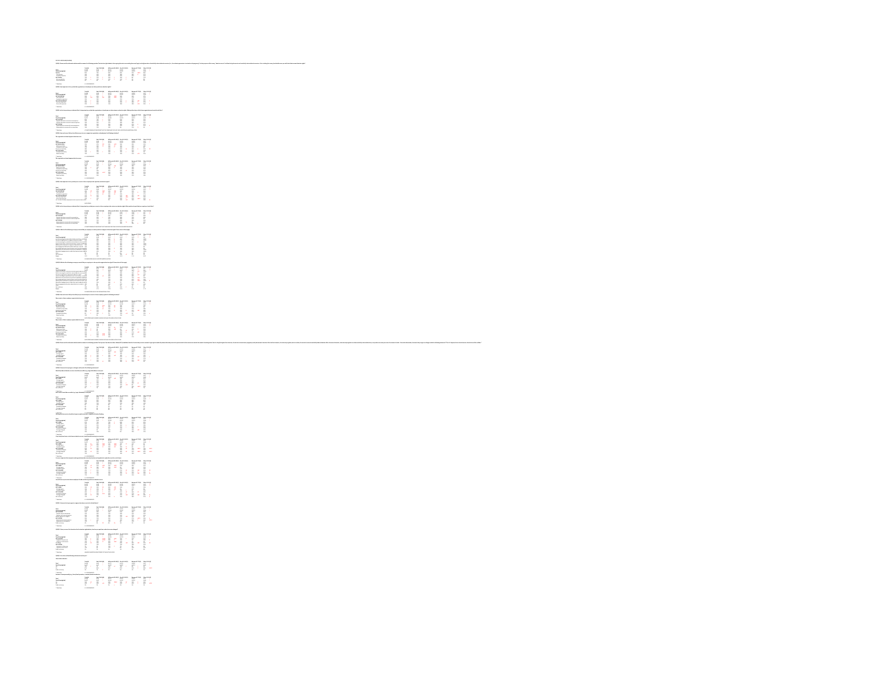| <b>BB</b> 1111                                                                                                                                                                                                                       | 123888<br>í,                                                                                                                                                                                                                                                                                                      | 11111111                                                                                                                                                                                                                             | <b>HISTORY</b>                                                | llissa<br>F                                                                                                    | 1111111<br>Ĩ                                                          |
|--------------------------------------------------------------------------------------------------------------------------------------------------------------------------------------------------------------------------------------|-------------------------------------------------------------------------------------------------------------------------------------------------------------------------------------------------------------------------------------------------------------------------------------------------------------------|--------------------------------------------------------------------------------------------------------------------------------------------------------------------------------------------------------------------------------------|---------------------------------------------------------------|----------------------------------------------------------------------------------------------------------------|-----------------------------------------------------------------------|
|                                                                                                                                                                                                                                      | Í                                                                                                                                                                                                                                                                                                                 | 111111111                                                                                                                                                                                                                            |                                                               |                                                                                                                |                                                                       |
| $\frac{1}{2}$                                                                                                                                                                                                                        | 11111111                                                                                                                                                                                                                                                                                                          |                                                                                                                                                                                                                                      | <b>MAGERIA</b>                                                | 3333311<br>ŗ                                                                                                   | <b>B3583118</b><br>医子宫下的 医血管                                          |
| $\frac{1}{2}$                                                                                                                                                                                                                        | 55333111<br>Ĩ                                                                                                                                                                                                                                                                                                     |                                                                                                                                                                                                                                      | El ses de                                                     | <b>BESTER</b><br>$\frac{1}{2}$                                                                                 | 11111111<br>T,                                                        |
| <b>The certain of the certain of the certain of the certain of the certain of the certain of the certain of the certain of the certain of the certain of the certain of the certain of the certain of the certain of the certain</b> |                                                                                                                                                                                                                                                                                                                   | ř                                                                                                                                                                                                                                    | <b>HERRICA</b><br>Ĩ,                                          | <b>TISSES</b><br>$\frac{1}{1}$                                                                                 |                                                                       |
|                                                                                                                                                                                                                                      | <b>BERESS RESERVES</b><br>in a shi ne                                                                                                                                                                                                                                                                             |                                                                                                                                                                                                                                      | 11111111111<br>j                                              | 1111111111                                                                                                     | <b>Base concerned Base concerned</b><br>エー・エー                         |
|                                                                                                                                                                                                                                      | i pint<br><b>JEEGGEE</b>                                                                                                                                                                                                                                                                                          | F                                                                                                                                                                                                                                    | 1111111111<br>.<br>E                                          | $\frac{1}{2}$                                                                                                  | literate { literature literature!                                     |
|                                                                                                                                                                                                                                      |                                                                                                                                                                                                                                                                                                                   |                                                                                                                                                                                                                                      |                                                               |                                                                                                                |                                                                       |
|                                                                                                                                                                                                                                      | $\frac{1}{2}$                                                                                                                                                                                                                                                                                                     |                                                                                                                                                                                                                                      |                                                               | 「The Theory The Theory The Theory The Theory Theory The Theory Theory Theory Theory Theory Theory Theory Theor |                                                                       |
|                                                                                                                                                                                                                                      |                                                                                                                                                                                                                                                                                                                   |                                                                                                                                                                                                                                      |                                                               |                                                                                                                |                                                                       |
|                                                                                                                                                                                                                                      |                                                                                                                                                                                                                                                                                                                   | The contract of the contract of the contract of the contract of the contract of the contract of the contract of the contract of the contract of the contract of the contract of the contract of the contract of the contract o       |                                                               |                                                                                                                |                                                                       |
|                                                                                                                                                                                                                                      |                                                                                                                                                                                                                                                                                                                   |                                                                                                                                                                                                                                      |                                                               |                                                                                                                |                                                                       |
|                                                                                                                                                                                                                                      |                                                                                                                                                                                                                                                                                                                   |                                                                                                                                                                                                                                      |                                                               |                                                                                                                |                                                                       |
| I success to Filmont L. Filmont L. Filmont L. Filmont L. Filmont L.                                                                                                                                                                  | $\frac{1}{2}$ , Historic contrary $\frac{1}{2}$ , Historic matrix $\frac{1}{2}$<br>Friday Corporation Corporation Corporation Corporation Corporation Corporation Corporation Corporation Corporation Corporation Corporation Corporation Corporation Corporation Corporation Corporation Corporation Corporation | $\ddot{\phantom{a}}$                                                                                                                                                                                                                 | オー・エネス しょうかつ                                                  | 2012年12月16日 10日 10日 10日 10日 10日 10日 10日 10日<br>The same of                                                     | Indianapolisade                                                       |
|                                                                                                                                                                                                                                      |                                                                                                                                                                                                                                                                                                                   |                                                                                                                                                                                                                                      |                                                               |                                                                                                                |                                                                       |
| j                                                                                                                                                                                                                                    | Bissences   Bissances                                                                                                                                                                                                                                                                                             | $\ddot{}}$                                                                                                                                                                                                                           | $\ddot{\phantom{a}}$                                          | $\frac{1}{2}$                                                                                                  |                                                                       |
|                                                                                                                                                                                                                                      |                                                                                                                                                                                                                                                                                                                   |                                                                                                                                                                                                                                      |                                                               |                                                                                                                |                                                                       |
| j                                                                                                                                                                                                                                    |                                                                                                                                                                                                                                                                                                                   | $\ddot{ }$                                                                                                                                                                                                                           |                                                               | $\frac{1}{2}$                                                                                                  |                                                                       |
|                                                                                                                                                                                                                                      |                                                                                                                                                                                                                                                                                                                   | 1116666666666666666                                                                                                                                                                                                                  | $\ddot{\phantom{a}}$                                          |                                                                                                                | <b>Basement</b> Basement<br>フィーマー                                     |
| $\vdots$                                                                                                                                                                                                                             |                                                                                                                                                                                                                                                                                                                   | $\frac{1}{2}$<br>$\frac{1}{2}$                                                                                                                                                                                                       | Himmun , Himmun , Electronic<br>$\frac{1}{2}$                 | $\frac{1}{2}$<br>$\frac{1}{2}$                                                                                 |                                                                       |
|                                                                                                                                                                                                                                      |                                                                                                                                                                                                                                                                                                                   |                                                                                                                                                                                                                                      |                                                               |                                                                                                                | $\frac{1}{2}$                                                         |
|                                                                                                                                                                                                                                      |                                                                                                                                                                                                                                                                                                                   |                                                                                                                                                                                                                                      | ilisters.<br>Ĩ.                                               | <b>Mississi</b><br>$\ddot{\phantom{0}}$                                                                        |                                                                       |
| i<br>S                                                                                                                                                                                                                               |                                                                                                                                                                                                                                                                                                                   |                                                                                                                                                                                                                                      | illister<br>Ĩ                                                 | liferen                                                                                                        |                                                                       |
| In the contract of the contract of the contract of the contract of the contract of the contract of the contract of the contract of the contract of the contract of the contract of the contract of the contract of the contrac       | 大学・一本の中一本 オン・シャン アイ・バー                                                                                                                                                                                                                                                                                            | Ī                                                                                                                                                                                                                                    | Ţ                                                             |                                                                                                                |                                                                       |
|                                                                                                                                                                                                                                      |                                                                                                                                                                                                                                                                                                                   |                                                                                                                                                                                                                                      | <b>BBBBBBBB</b>                                               | 1111111111<br>Ĩ.                                                                                               |                                                                       |
| Ì                                                                                                                                                                                                                                    |                                                                                                                                                                                                                                                                                                                   | Ĩ                                                                                                                                                                                                                                    |                                                               |                                                                                                                |                                                                       |
| i                                                                                                                                                                                                                                    |                                                                                                                                                                                                                                                                                                                   | $\ddot{=}$                                                                                                                                                                                                                           | <b>Bites illines</b><br>$\frac{1}{2}$<br>$\ddot{\phantom{a}}$ | $\frac{1}{2}$                                                                                                  |                                                                       |
| La consequente de la consequente de la consequencia de<br>I                                                                                                                                                                          | 【中国】 【中国】 【中国】 (中国)                                                                                                                                                                                                                                                                                               | There is a control of the filling of the process of the control of the control of the control of the control of the control of the control of the control of the control of the control of the control of the control of the c<br>F. | <b>HISTORY</b>                                                | Ï.                                                                                                             | オー・オー・サー・サロ サミ オミナ<br>Burne Biraca Burner Biraca Biraca Biraca Biraca |
|                                                                                                                                                                                                                                      | $\overline{a}$                                                                                                                                                                                                                                                                                                    | ,,,,,,,,,<br>Ĩ.                                                                                                                                                                                                                      | $\ddot{\phantom{a}}$<br><b>BEST COLOR</b>                     | Ĩ,                                                                                                             | <b>BBBBBBBBBBBBB</b><br>T<br>L                                        |
|                                                                                                                                                                                                                                      |                                                                                                                                                                                                                                                                                                                   |                                                                                                                                                                                                                                      |                                                               |                                                                                                                |                                                                       |
| <b>RESERVED BEES IN STREET</b><br>$\frac{1}{2}$                                                                                                                                                                                      | $\frac{1}{2}$                                                                                                                                                                                                                                                                                                     | $\frac{1}{2}$<br>i<br>Fi                                                                                                                                                                                                             | <b>BBS 64</b><br>Į                                            | <b>Historics</b>                                                                                               | T.                                                                    |
| Bitte Hilliste                                                                                                                                                                                                                       | $\vec{r}$<br>E City<br>.<br>.<br>.                                                                                                                                                                                                                                                                                | <b>Ellista</b><br>ŗ                                                                                                                                                                                                                  | H<br>Ţ                                                        | ili.ci<br>ł<br><u>m</u>                                                                                        | ii i i i i i<br>Ϊ                                                     |